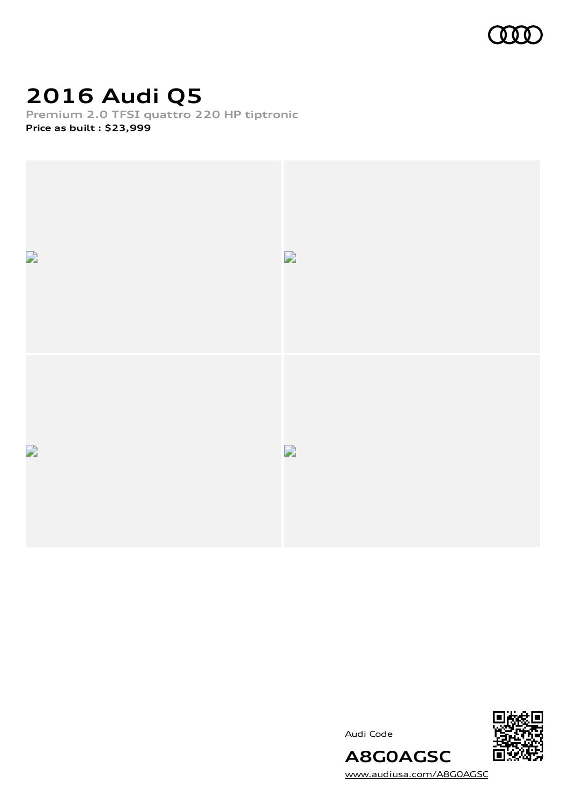

## **2016 Audi Q5**

**Premium 2.0 TFSI quattro 220 HP tiptronic Price as built [:](#page-10-0) \$23,999**







[www.audiusa.com/A8G0AGSC](https://www.audiusa.com/A8G0AGSC)

**A8G0AGSC**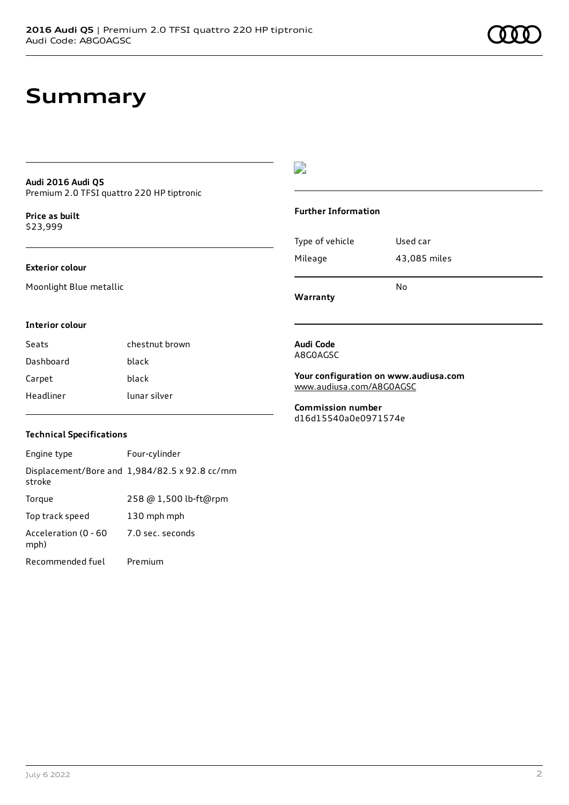### **Audi 2016 Audi Q5** Premium 2.0 TFSI quattro 220 HP tiptronic

**Price as buil[t](#page-10-0)** \$23,999

### **Exterior colour**

Moonlight Blue metallic

#### **Interior colour**

Seats chestnut brown Dashboard black Carpet black Headliner lunar silver

### **Technical Specifications**

Engine type Four-cylinder Displacement/Bore and 1,984/82.5 x 92.8 cc/mm stroke Torque 258 @ 1,500 lb-ft@rpm Top track speed 130 mph mph Acceleration (0 - 60 mph) 7.0 sec. seconds Recommended fuel Premium

### D

#### **Further Information**

| Mileage | 43,085 miles |
|---------|--------------|
|         | No           |

**Warranty**

#### **Audi Code** A8G0AGSC

**Your configuration on www.audiusa.com** [www.audiusa.com/A8G0AGSC](https://www.audiusa.com/A8G0AGSC)

**Commission number** d16d15540a0e0971574e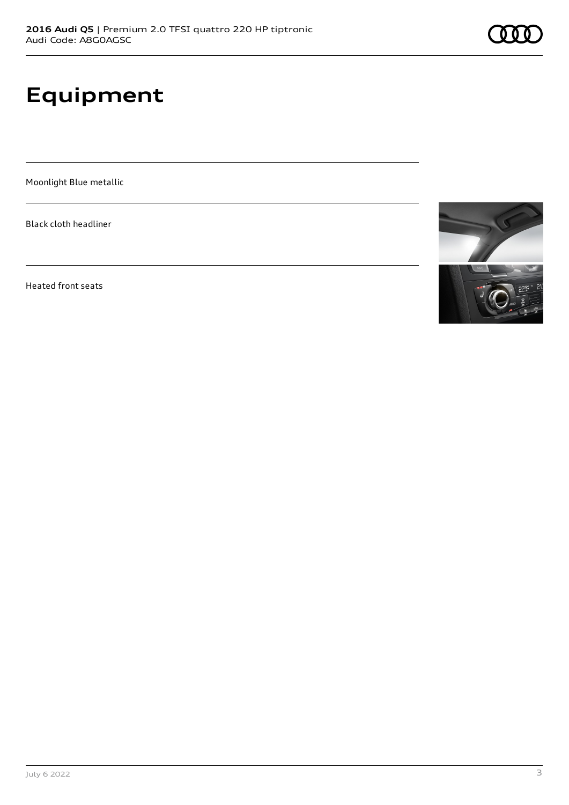# **Equipment**

Moonlight Blue metallic

Black cloth headliner

Heated front seats

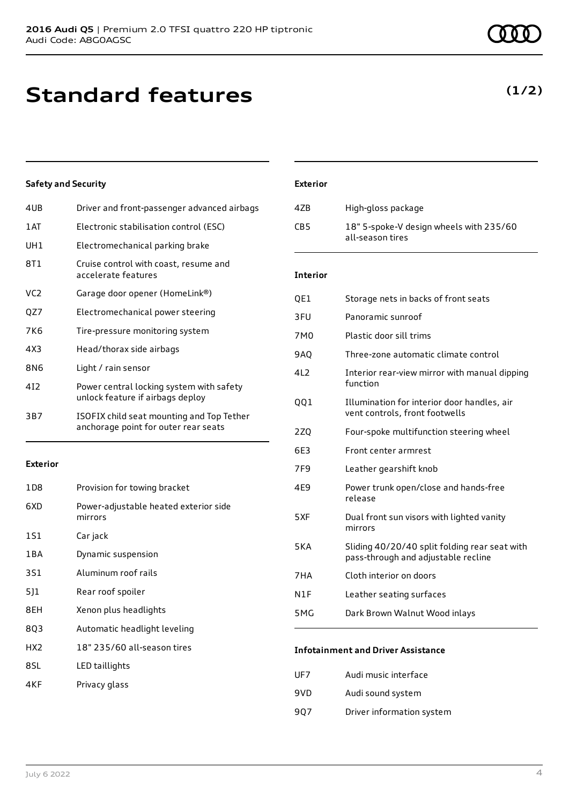### **Standard features**

### **Safety and Security**

| 4UB | Driver and front-passenger advanced airbags                                       |
|-----|-----------------------------------------------------------------------------------|
| 1AT | Electronic stabilisation control (ESC)                                            |
| UH1 | Electromechanical parking brake                                                   |
| 8T1 | Cruise control with coast, resume and<br>accelerate features                      |
| VC2 | Garage door opener (HomeLink®)                                                    |
| QZ7 | Electromechanical power steering                                                  |
| 7K6 | Tire-pressure monitoring system                                                   |
| 4X3 | Head/thorax side airbags                                                          |
| 8N6 | Light / rain sensor                                                               |
| 412 | Power central locking system with safety<br>unlock feature if airbags deploy      |
| 3B7 | ISOFIX child seat mounting and Top Tether<br>anchorage point for outer rear seats |

#### **Exterior**

| 1 D 8           | Provision for towing bracket                     |
|-----------------|--------------------------------------------------|
| 6XD             | Power-adjustable heated exterior side<br>mirrors |
| 1S1             | Car jack                                         |
| 1 B A           | Dynamic suspension                               |
| 3S1             | Aluminum roof rails                              |
| 5]1             | Rear roof spoiler                                |
| 8EH             | Xenon plus headlights                            |
| 803             | Automatic headlight leveling                     |
| HX <sub>2</sub> | 18" 235/60 all-season tires                      |
| 8SL             | LED taillights                                   |
| 4KF             | Privacy glass                                    |

### **Exterior**

| 47B             | High-gloss package                                          |
|-----------------|-------------------------------------------------------------|
| CB <sub>5</sub> | 18" 5-spoke-V design wheels with 235/60<br>all-season tires |

### **Interior**

| QE1 | Storage nets in backs of front seats                                                 |
|-----|--------------------------------------------------------------------------------------|
| 3FU | Panoramic sunroof                                                                    |
| 7M0 | Plastic door sill trims                                                              |
| 9AQ | Three-zone automatic climate control                                                 |
| 4L2 | Interior rear-view mirror with manual dipping<br>function                            |
| QQ1 | Illumination for interior door handles, air<br>vent controls, front footwells        |
| 2ZQ | Four-spoke multifunction steering wheel                                              |
| 6E3 | Front center armrest                                                                 |
| 7F9 | Leather gearshift knob                                                               |
| 4E9 | Power trunk open/close and hands-free<br>release                                     |
| 5XF | Dual front sun visors with lighted vanity<br>mirrors                                 |
| 5KA | Sliding 40/20/40 split folding rear seat with<br>pass-through and adjustable recline |
| 7HA | Cloth interior on doors                                                              |
| N1F | Leather seating surfaces                                                             |
| 5MG | Dark Brown Walnut Wood inlays                                                        |
|     |                                                                                      |

### **Infotainment and Driver Assistance**

| UF7 | Audi music interface      |
|-----|---------------------------|
| 9VD | Audi sound system         |
| 907 | Driver information system |

### **(1/2)**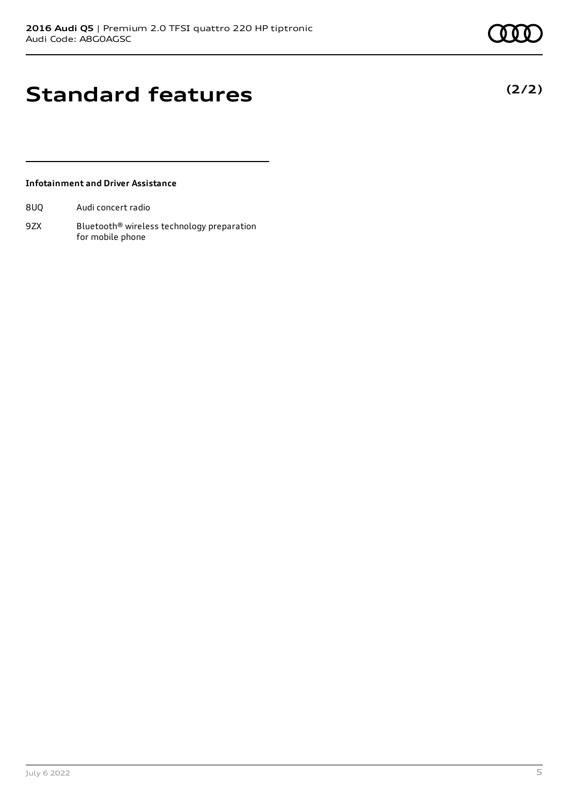**(2/2)**

## **Standard features**

### **Infotainment and Driver Assistance**

8UQ Audi concert radio

9ZX Bluetooth<sup>®</sup> wireless technology preparation for mobile phone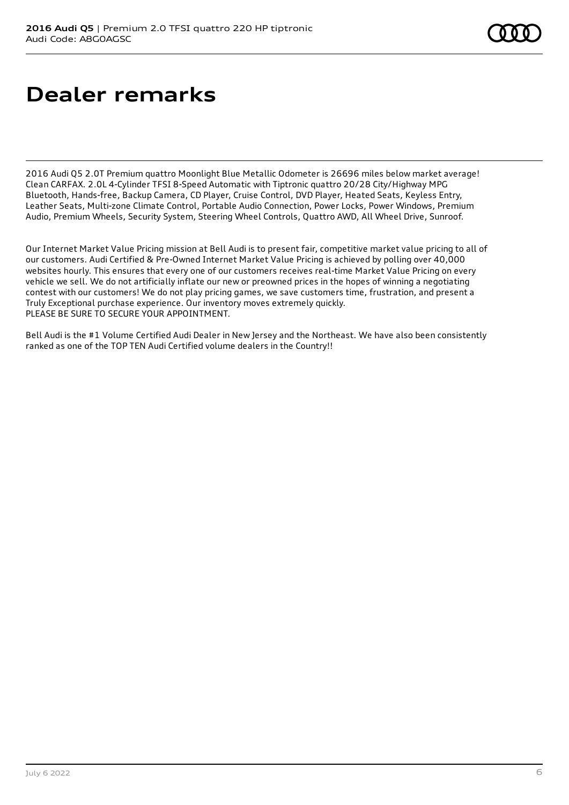# **Dealer remarks**

2016 Audi Q5 2.0T Premium quattro Moonlight Blue Metallic Odometer is 26696 miles below market average! Clean CARFAX. 2.0L 4-Cylinder TFSI 8-Speed Automatic with Tiptronic quattro 20/28 City/Highway MPG Bluetooth, Hands-free, Backup Camera, CD Player, Cruise Control, DVD Player, Heated Seats, Keyless Entry, Leather Seats, Multi-zone Climate Control, Portable Audio Connection, Power Locks, Power Windows, Premium Audio, Premium Wheels, Security System, Steering Wheel Controls, Quattro AWD, All Wheel Drive, Sunroof.

Our Internet Market Value Pricing mission at Bell Audi is to present fair, competitive market value pricing to all of our customers. Audi Certified & Pre-Owned Internet Market Value Pricing is achieved by polling over 40,000 websites hourly. This ensures that every one of our customers receives real-time Market Value Pricing on every vehicle we sell. We do not artificially inflate our new or preowned prices in the hopes of winning a negotiating contest with our customers! We do not play pricing games, we save customers time, frustration, and present a Truly Exceptional purchase experience. Our inventory moves extremely quickly. PLEASE BE SURE TO SECURE YOUR APPOINTMENT.

Bell Audi is the #1 Volume Certified Audi Dealer in New Jersey and the Northeast. We have also been consistently ranked as one of the TOP TEN Audi Certified volume dealers in the Country!!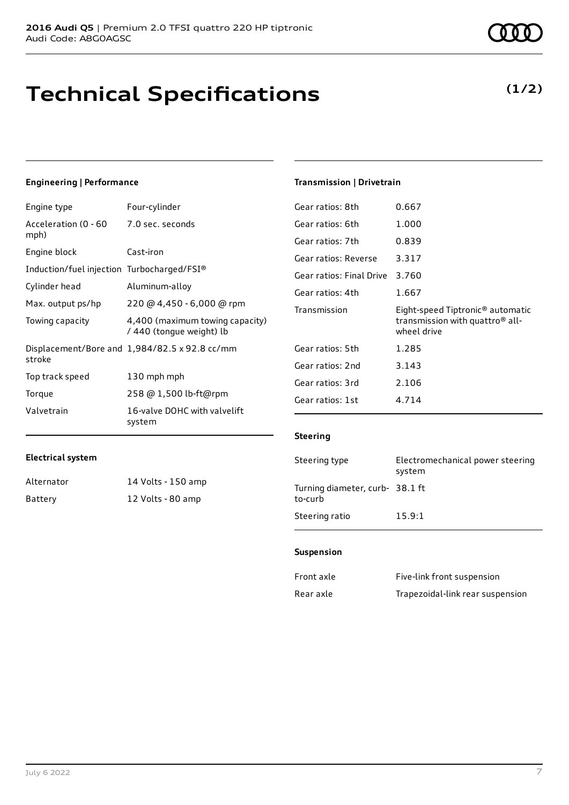# **Technical Specifications**

#### **Engineering | Performance**

| Engine type                                | Four-cylinder                                               |
|--------------------------------------------|-------------------------------------------------------------|
| Acceleration (0 - 60<br>mph)               | 7.0 sec. seconds                                            |
| Engine block                               | Cast-iron                                                   |
| Induction/fuel injection Turbocharged/FSI® |                                                             |
| Cylinder head                              | Aluminum-alloy                                              |
| Max. output ps/hp                          | 220 @ 4,450 - 6,000 @ rpm                                   |
| Towing capacity                            | 4,400 (maximum towing capacity)<br>/ 440 (tongue weight) lb |
| stroke                                     | Displacement/Bore and 1,984/82.5 x 92.8 cc/mm               |
| Top track speed                            | 130 mph mph                                                 |
| Torque                                     | 258 @ 1,500 lb-ft@rpm                                       |
| Valvetrain                                 | 16-valve DOHC with valvelift<br>system                      |

| Gear ratios: 8th         | 0.667                                                                                                      |
|--------------------------|------------------------------------------------------------------------------------------------------------|
| Gear ratios: 6th         | 1.000                                                                                                      |
| Gear ratios: 7th         | 0.839                                                                                                      |
| Gear ratios: Reverse     | 3.317                                                                                                      |
| Gear ratios: Final Drive | 3.760                                                                                                      |
| Gear ratios: 4th         | 1.667                                                                                                      |
|                          |                                                                                                            |
| Transmission             | Eight-speed Tiptronic <sup>®</sup> automatic<br>transmission with quattro <sup>®</sup> all-<br>wheel drive |
| Gear ratios: 5th         | 1.285                                                                                                      |
| Gear ratios: 2nd         | 3.143                                                                                                      |
| Gear ratios: 3rd         | 2.106                                                                                                      |

### **Steering**

**Transmission | Drivetrain**

| Steering type                             | Electromechanical power steering<br>system |
|-------------------------------------------|--------------------------------------------|
| Turning diameter, curb-38.1 ft<br>to-curb |                                            |
| Steering ratio                            | 15.9:1                                     |

#### **Suspension**

| Front axle | Five-link front suspension       |
|------------|----------------------------------|
| Rear axle  | Trapezoidal-link rear suspension |

**Electrical system**

Alternator 14 Volts - 150 amp Battery 12 Volts - 80 amp

### **(1/2)**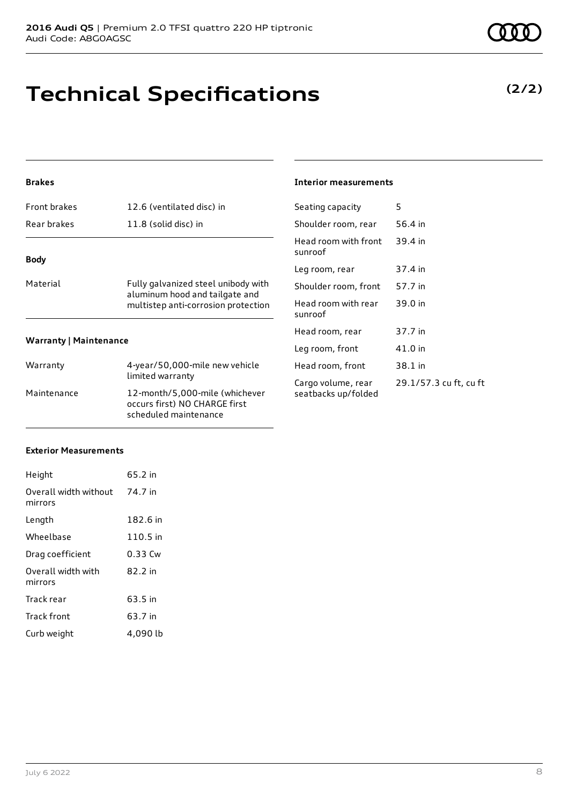# **Technical Specifications**

### **Brakes**

| Front brakes                  | 12.6 (ventilated disc) in                                             | Seating capa                |
|-------------------------------|-----------------------------------------------------------------------|-----------------------------|
| Rear brakes                   | 11.8 (solid disc) in                                                  | Shoulder roo                |
| <b>Body</b>                   |                                                                       | Head room y<br>sunroof      |
|                               |                                                                       | Leg room, re                |
| Material                      | Fully galvanized steel unibody with                                   | Shoulder roo                |
|                               | aluminum hood and tailgate and<br>multistep anti-corrosion protection | Head room \<br>sunroof      |
|                               |                                                                       | Head room,                  |
| <b>Warranty   Maintenance</b> |                                                                       | Leg room, fr                |
| Warranty                      | 4-year/50,000-mile new vehicle                                        | Head room,                  |
| Maintenance                   | limited warranty<br>12-month/5,000-mile (whichever                    | Cargo volum<br>seatbacks ui |

occurs first) NO CHARGE first scheduled maintenance

### **Interior measurements**

| Seating capacity                          | 5                      |
|-------------------------------------------|------------------------|
| Shoulder room, rear                       | 56.4 in                |
| Head room with front<br>sunroof           | 39.4 in                |
| Leg room, rear                            | 37.4 in                |
| Shoulder room, front                      | 57.7 in                |
| Head room with rear<br>sunroof            | 39.0 in                |
| Head room, rear                           | 37.7 in                |
| Leg room, front                           | 41.0 in                |
| Head room, front                          | 38.1 in                |
| Cargo volume, rear<br>seatbacks up/folded | 29.1/57.3 cu ft, cu ft |

#### **Exterior Measurements**

| Height                           | 65.2 in  |
|----------------------------------|----------|
| Overall width without<br>mirrors | 74.7 in  |
| Length                           | 182.6 in |
| Wheelbase                        | 110.5 in |
| Drag coefficient                 | 0.33 Cw  |
| Overall width with<br>mirrors    | 82.2 in  |
| Track rear                       | 63.5 in  |
| <b>Track front</b>               | 63.7 in  |
| Curb weight                      | 4,090 lb |

**(2/2)**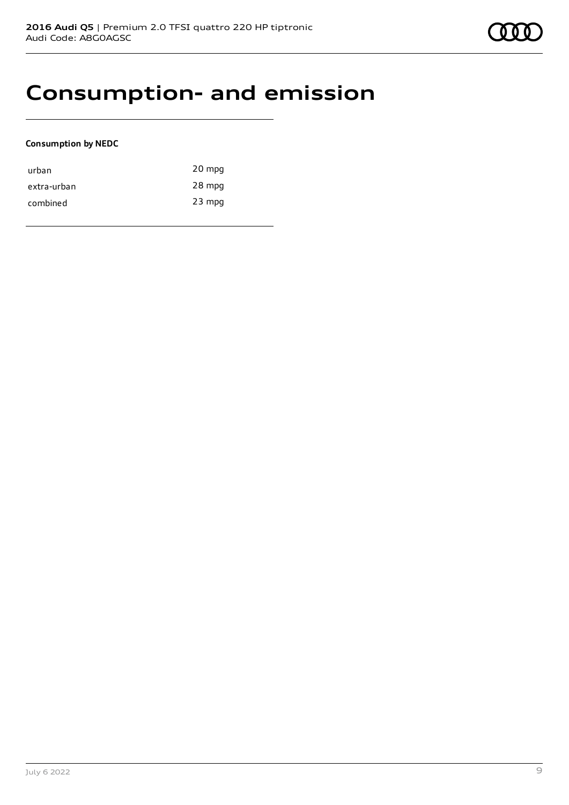### **Consumption- and emission**

### **Consumption by NEDC**

| urban       | 20 mpg   |
|-------------|----------|
| extra-urban | 28 mpg   |
| combined    | $23$ mpg |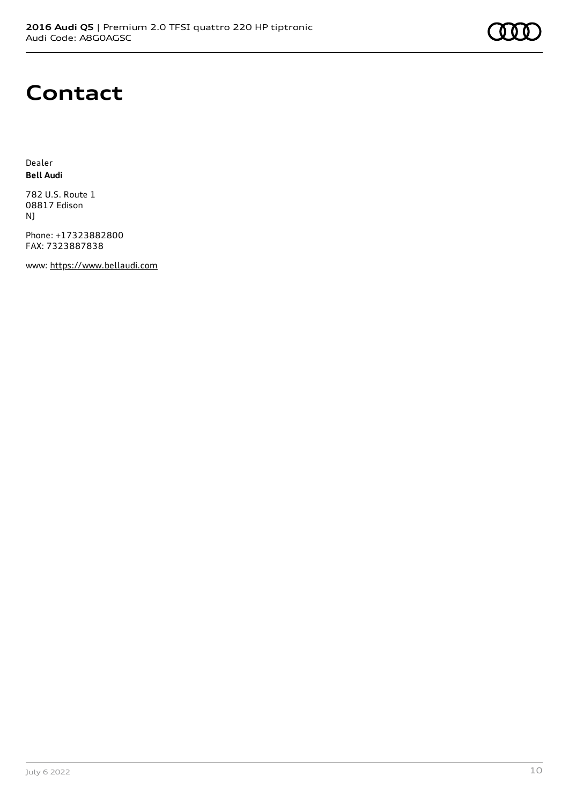

### **Contact**

Dealer **Bell Audi**

782 U.S. Route 1 08817 Edison NJ

Phone: +17323882800 FAX: 7323887838

www: [https://www.bellaudi.com](https://www.bellaudi.com/)